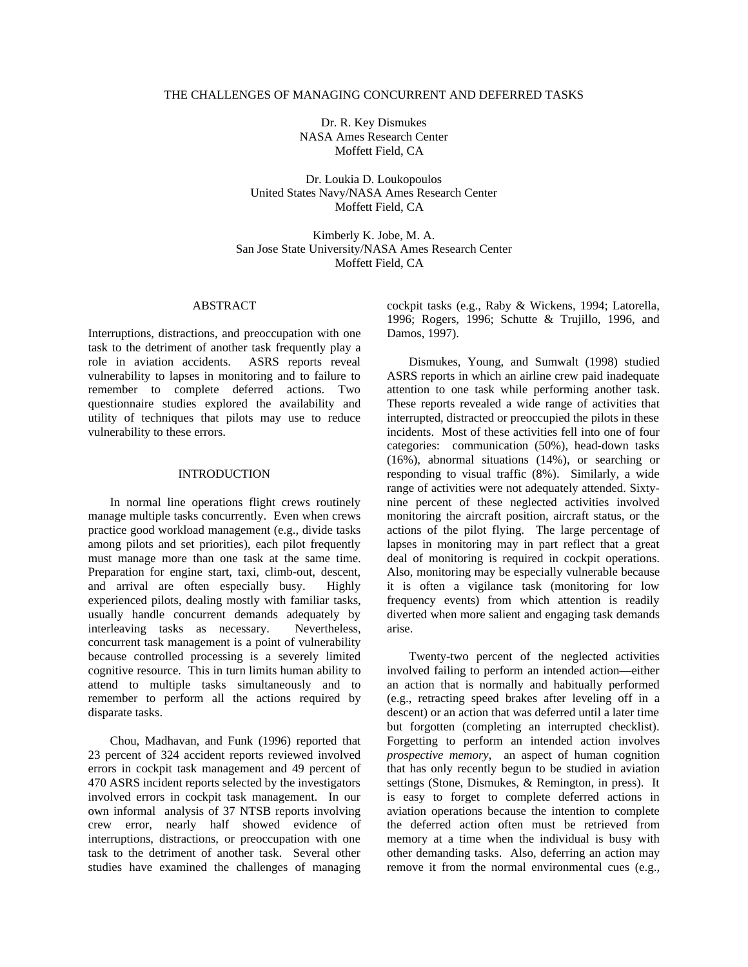### THE CHALLENGES OF MANAGING CONCURRENT AND DEFERRED TASKS

Dr. R. Key Dismukes NASA Ames Research Center Moffett Field, CA

Dr. Loukia D. Loukopoulos United States Navy/NASA Ames Research Center Moffett Field, CA

Kimberly K. Jobe, M. A. San Jose State University/NASA Ames Research Center Moffett Field, CA

### ABSTRACT

Interruptions, distractions, and preoccupation with one task to the detriment of another task frequently play a role in aviation accidents. ASRS reports reveal vulnerability to lapses in monitoring and to failure to remember to complete deferred actions. Two questionnaire studies explored the availability and utility of techniques that pilots may use to reduce vulnerability to these errors.

#### INTRODUCTION

In normal line operations flight crews routinely manage multiple tasks concurrently. Even when crews practice good workload management (e.g., divide tasks among pilots and set priorities), each pilot frequently must manage more than one task at the same time. Preparation for engine start, taxi, climb-out, descent, and arrival are often especially busy. Highly experienced pilots, dealing mostly with familiar tasks, usually handle concurrent demands adequately by interleaving tasks as necessary. Nevertheless, concurrent task management is a point of vulnerability because controlled processing is a severely limited cognitive resource. This in turn limits human ability to attend to multiple tasks simultaneously and to remember to perform all the actions required by disparate tasks.

Chou, Madhavan, and Funk (1996) reported that 23 percent of 324 accident reports reviewed involved errors in cockpit task management and 49 percent of 470 ASRS incident reports selected by the investigators involved errors in cockpit task management. In our own informal analysis of 37 NTSB reports involving crew error, nearly half showed evidence of interruptions, distractions, or preoccupation with one task to the detriment of another task. Several other studies have examined the challenges of managing cockpit tasks (e.g., Raby & Wickens, 1994; Latorella, 1996; Rogers, 1996; Schutte & Trujillo, 1996, and Damos, 1997).

Dismukes, Young, and Sumwalt (1998) studied ASRS reports in which an airline crew paid inadequate attention to one task while performing another task. These reports revealed a wide range of activities that interrupted, distracted or preoccupied the pilots in these incidents. Most of these activities fell into one of four categories: communication (50%), head-down tasks (16%), abnormal situations (14%), or searching or responding to visual traffic (8%). Similarly, a wide range of activities were not adequately attended. Sixtynine percent of these neglected activities involved monitoring the aircraft position, aircraft status, or the actions of the pilot flying. The large percentage of lapses in monitoring may in part reflect that a great deal of monitoring is required in cockpit operations. Also, monitoring may be especially vulnerable because it is often a vigilance task (monitoring for low frequency events) from which attention is readily diverted when more salient and engaging task demands arise.

Twenty-two percent of the neglected activities involved failing to perform an intended action—either an action that is normally and habitually performed (e.g., retracting speed brakes after leveling off in a descent) or an action that was deferred until a later time but forgotten (completing an interrupted checklist). Forgetting to perform an intended action involves *prospective memory*, an aspect of human cognition that has only recently begun to be studied in aviation settings (Stone, Dismukes, & Remington, in press). It is easy to forget to complete deferred actions in aviation operations because the intention to complete the deferred action often must be retrieved from memory at a time when the individual is busy with other demanding tasks. Also, deferring an action may remove it from the normal environmental cues (e.g.,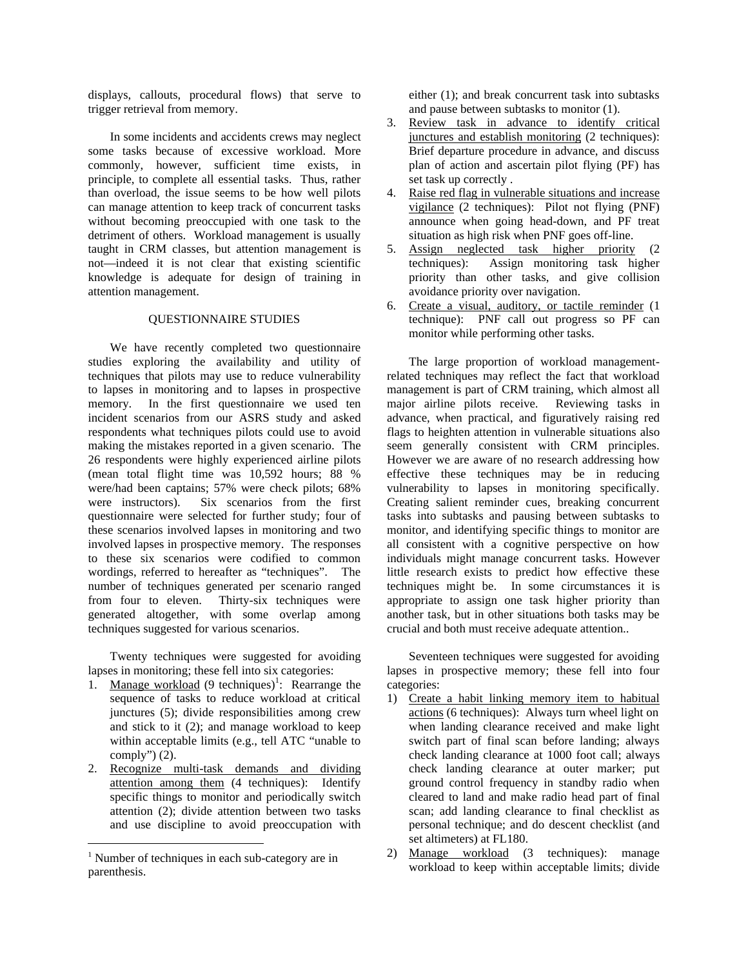displays, callouts, procedural flows) that serve to trigger retrieval from memory.

In some incidents and accidents crews may neglect some tasks because of excessive workload. More commonly, however, sufficient time exists, in principle, to complete all essential tasks. Thus, rather than overload, the issue seems to be how well pilots can manage attention to keep track of concurrent tasks without becoming preoccupied with one task to the detriment of others. Workload management is usually taught in CRM classes, but attention management is not—indeed it is not clear that existing scientific knowledge is adequate for design of training in attention management.

### QUESTIONNAIRE STUDIES

We have recently completed two questionnaire studies exploring the availability and utility of techniques that pilots may use to reduce vulnerability to lapses in monitoring and to lapses in prospective memory. In the first questionnaire we used ten incident scenarios from our ASRS study and asked respondents what techniques pilots could use to avoid making the mistakes reported in a given scenario. The 26 respondents were highly experienced airline pilots (mean total flight time was 10,592 hours; 88 % were/had been captains; 57% were check pilots; 68% were instructors). Six scenarios from the first questionnaire were selected for further study; four of these scenarios involved lapses in monitoring and two involved lapses in prospective memory. The responses to these six scenarios were codified to common wordings, referred to hereafter as "techniques". The number of techniques generated per scenario ranged from four to eleven. Thirty-six techniques were generated altogether, with some overlap among techniques suggested for various scenarios.

Twenty techniques were suggested for avoiding lapses in monitoring; these fell into six categories:

- 1. Manage workload  $(9 \text{ techniques})^1$ : Rearrange the sequence of tasks to reduce workload at critical junctures (5); divide responsibilities among crew and stick to it (2); and manage workload to keep within acceptable limits (e.g., tell ATC "unable to comply" $)$  (2).
- 2. Recognize multi-task demands and dividing attention among them (4 techniques): Identify specific things to monitor and periodically switch attention (2); divide attention between two tasks and use discipline to avoid preoccupation with

 $\overline{a}$ 

either (1); and break concurrent task into subtasks and pause between subtasks to monitor (1).

- 3. Review task in advance to identify critical junctures and establish monitoring (2 techniques): Brief departure procedure in advance, and discuss plan of action and ascertain pilot flying (PF) has set task up correctly .
- 4. Raise red flag in vulnerable situations and increase vigilance (2 techniques): Pilot not flying (PNF) announce when going head-down, and PF treat situation as high risk when PNF goes off-line.
- 5. Assign neglected task higher priority (2 techniques): Assign monitoring task higher priority than other tasks, and give collision avoidance priority over navigation.
- 6. Create a visual, auditory, or tactile reminder (1 technique): PNF call out progress so PF can monitor while performing other tasks.

The large proportion of workload managementrelated techniques may reflect the fact that workload management is part of CRM training, which almost all major airline pilots receive. Reviewing tasks in advance, when practical, and figuratively raising red flags to heighten attention in vulnerable situations also seem generally consistent with CRM principles. However we are aware of no research addressing how effective these techniques may be in reducing vulnerability to lapses in monitoring specifically. Creating salient reminder cues, breaking concurrent tasks into subtasks and pausing between subtasks to monitor, and identifying specific things to monitor are all consistent with a cognitive perspective on how individuals might manage concurrent tasks. However little research exists to predict how effective these techniques might be. In some circumstances it is appropriate to assign one task higher priority than another task, but in other situations both tasks may be crucial and both must receive adequate attention..

Seventeen techniques were suggested for avoiding lapses in prospective memory; these fell into four categories:

- 1) Create a habit linking memory item to habitual actions (6 techniques): Always turn wheel light on when landing clearance received and make light switch part of final scan before landing; always check landing clearance at 1000 foot call; always check landing clearance at outer marker; put ground control frequency in standby radio when cleared to land and make radio head part of final scan; add landing clearance to final checklist as personal technique; and do descent checklist (and set altimeters) at FL180.
- 2) Manage workload (3 techniques): manage workload to keep within acceptable limits; divide

<sup>&</sup>lt;sup>1</sup> Number of techniques in each sub-category are in parenthesis.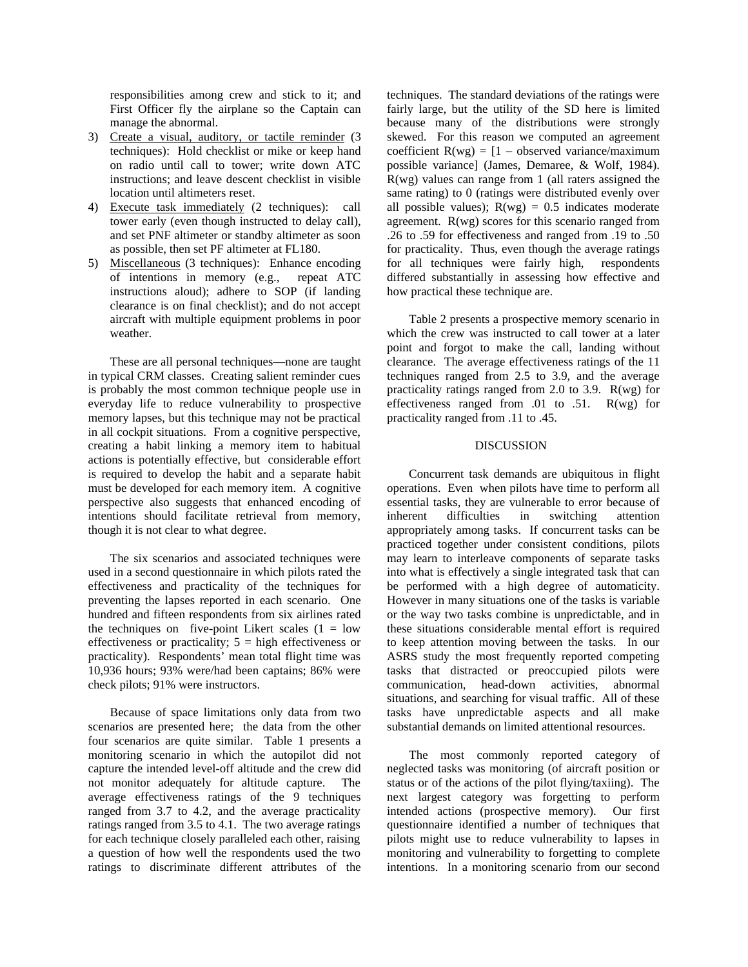responsibilities among crew and stick to it; and First Officer fly the airplane so the Captain can manage the abnormal.

- 3) Create a visual, auditory, or tactile reminder (3 techniques): Hold checklist or mike or keep hand on radio until call to tower; write down ATC instructions; and leave descent checklist in visible location until altimeters reset.
- 4) Execute task immediately (2 techniques): call tower early (even though instructed to delay call), and set PNF altimeter or standby altimeter as soon as possible, then set PF altimeter at FL180.
- 5) Miscellaneous (3 techniques): Enhance encoding of intentions in memory (e.g., repeat ATC instructions aloud); adhere to SOP (if landing clearance is on final checklist); and do not accept aircraft with multiple equipment problems in poor weather.

These are all personal techniques—none are taught in typical CRM classes. Creating salient reminder cues is probably the most common technique people use in everyday life to reduce vulnerability to prospective memory lapses, but this technique may not be practical in all cockpit situations. From a cognitive perspective, creating a habit linking a memory item to habitual actions is potentially effective, but considerable effort is required to develop the habit and a separate habit must be developed for each memory item. A cognitive perspective also suggests that enhanced encoding of intentions should facilitate retrieval from memory, though it is not clear to what degree.

The six scenarios and associated techniques were used in a second questionnaire in which pilots rated the effectiveness and practicality of the techniques for preventing the lapses reported in each scenario. One hundred and fifteen respondents from six airlines rated the techniques on five-point Likert scales  $(1 = low$ effectiveness or practicality;  $5 =$  high effectiveness or practicality). Respondents' mean total flight time was 10,936 hours; 93% were/had been captains; 86% were check pilots; 91% were instructors.

Because of space limitations only data from two scenarios are presented here; the data from the other four scenarios are quite similar. Table 1 presents a monitoring scenario in which the autopilot did not capture the intended level-off altitude and the crew did not monitor adequately for altitude capture. The average effectiveness ratings of the 9 techniques ranged from 3.7 to 4.2, and the average practicality ratings ranged from 3.5 to 4.1. The two average ratings for each technique closely paralleled each other, raising a question of how well the respondents used the two ratings to discriminate different attributes of the

techniques. The standard deviations of the ratings were fairly large, but the utility of the SD here is limited because many of the distributions were strongly skewed. For this reason we computed an agreement coefficient  $R(wg) = [1 - observed variance/maximum]$ possible variance] (James, Demaree, & Wolf, 1984). R(wg) values can range from 1 (all raters assigned the same rating) to 0 (ratings were distributed evenly over all possible values);  $R(wg) = 0.5$  indicates moderate agreement. R(wg) scores for this scenario ranged from .26 to .59 for effectiveness and ranged from .19 to .50 for practicality. Thus, even though the average ratings for all techniques were fairly high, respondents differed substantially in assessing how effective and how practical these technique are.

Table 2 presents a prospective memory scenario in which the crew was instructed to call tower at a later point and forgot to make the call, landing without clearance. The average effectiveness ratings of the 11 techniques ranged from 2.5 to 3.9, and the average practicality ratings ranged from 2.0 to 3.9. R(wg) for effectiveness ranged from .01 to .51. R(wg) for practicality ranged from .11 to .45.

### DISCUSSION

Concurrent task demands are ubiquitous in flight operations. Even when pilots have time to perform all essential tasks, they are vulnerable to error because of inherent difficulties in switching attention appropriately among tasks. If concurrent tasks can be practiced together under consistent conditions, pilots may learn to interleave components of separate tasks into what is effectively a single integrated task that can be performed with a high degree of automaticity. However in many situations one of the tasks is variable or the way two tasks combine is unpredictable, and in these situations considerable mental effort is required to keep attention moving between the tasks. In our ASRS study the most frequently reported competing tasks that distracted or preoccupied pilots were communication, head-down activities, abnormal situations, and searching for visual traffic. All of these tasks have unpredictable aspects and all make substantial demands on limited attentional resources.

The most commonly reported category of neglected tasks was monitoring (of aircraft position or status or of the actions of the pilot flying/taxiing). The next largest category was forgetting to perform intended actions (prospective memory). Our first questionnaire identified a number of techniques that pilots might use to reduce vulnerability to lapses in monitoring and vulnerability to forgetting to complete intentions. In a monitoring scenario from our second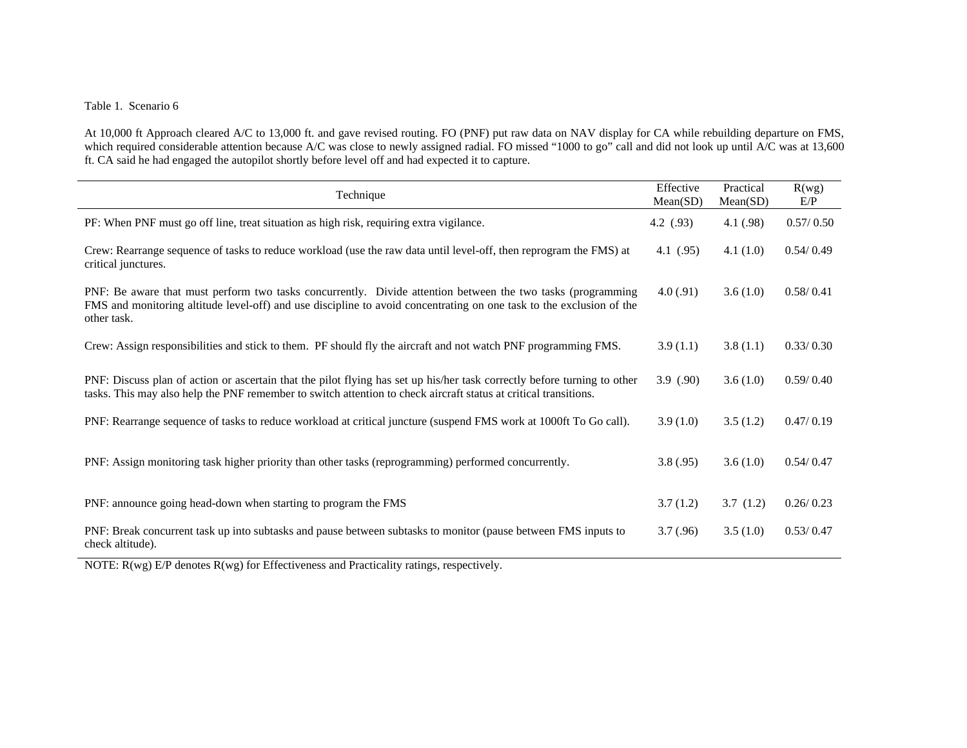# Table 1. Scenario 6

At 10,000 ft Approach cleared A/C to 13,000 ft. and gave revised routing. FO (PNF) put raw data on NAV display for CA while rebuilding departure on FMS, which required considerable attention because A/C was close to newly assigned radial. FO missed "1000 to go" call and did not look up until A/C was at 13,600 ft. CA said he had engaged the autopilot shortly before level off and had expected it to capture.

| Technique                                                                                                                                                                                                                                          | Effective<br>Mean(SD) | Practical<br>Mean(SD) | R(wg)<br>E/P |
|----------------------------------------------------------------------------------------------------------------------------------------------------------------------------------------------------------------------------------------------------|-----------------------|-----------------------|--------------|
| PF: When PNF must go off line, treat situation as high risk, requiring extra vigilance.                                                                                                                                                            | 4.2(.93)              | 4.1(0.98)             | 0.57/0.50    |
| Crew: Rearrange sequence of tasks to reduce workload (use the raw data until level-off, then reprogram the FMS) at<br>critical junctures.                                                                                                          | 4.1 $(.95)$           | 4.1(1.0)              | 0.54/0.49    |
| PNF: Be aware that must perform two tasks concurrently. Divide attention between the two tasks (programming<br>FMS and monitoring altitude level-off) and use discipline to avoid concentrating on one task to the exclusion of the<br>other task. | 4.0(0.91)             | 3.6(1.0)              | 0.58/0.41    |
| Crew: Assign responsibilities and stick to them. PF should fly the aircraft and not watch PNF programming FMS.                                                                                                                                     | 3.9(1.1)              | 3.8(1.1)              | 0.33/0.30    |
| PNF: Discuss plan of action or ascertain that the pilot flying has set up his/her task correctly before turning to other<br>tasks. This may also help the PNF remember to switch attention to check aircraft status at critical transitions.       | 3.9(0.90)             | 3.6(1.0)              | 0.59/0.40    |
| PNF: Rearrange sequence of tasks to reduce workload at critical juncture (suspend FMS work at 1000ft To Go call).                                                                                                                                  | 3.9(1.0)              | 3.5(1.2)              | 0.47/0.19    |
| PNF: Assign monitoring task higher priority than other tasks (reprogramming) performed concurrently.                                                                                                                                               | 3.8(.95)              | 3.6(1.0)              | 0.54/0.47    |
| PNF: announce going head-down when starting to program the FMS                                                                                                                                                                                     | 3.7(1.2)              | 3.7(1.2)              | 0.26/0.23    |
| PNF: Break concurrent task up into subtasks and pause between subtasks to monitor (pause between FMS inputs to<br>check altitude).<br>$\mathbf{A}$<br>$\mathbf{r}$<br>$\sim$ $\sigma$ $\sim$ $\sigma$ $\sim$<br>$100 - 100$<br>$\mathbf{r}$        | 3.7(.96)              | 3.5(1.0)              | 0.53/0.47    |

NOTE: R(wg) E/P denotes R(wg) for Effectiveness and Practicality ratings, respectively.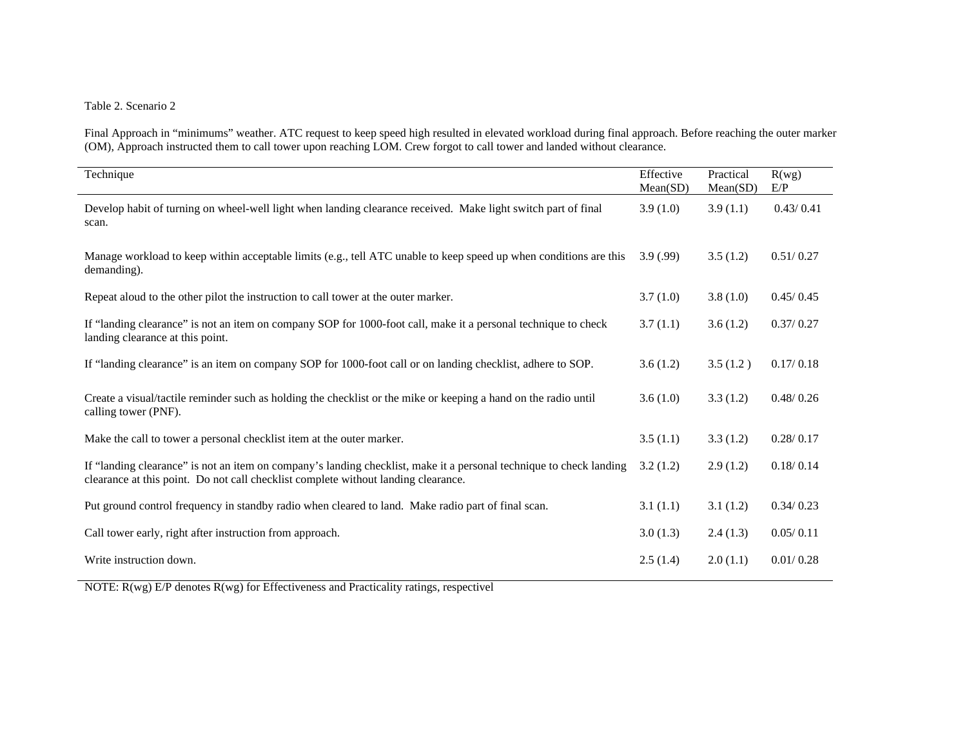## Table 2. Scenario 2

Final Approach in "minimums" weather. ATC request to keep speed high resulted in elevated workload during final approach. Before reaching the outer marker (OM), Approach instructed them to call tower upon reaching LOM. Crew forgot to call tower and landed without clearance.

| Technique                                                                                                                                                                                                 | Effective<br>Mean(SD) | Practical<br>Mean(SD) | R(wg)<br>E/P |
|-----------------------------------------------------------------------------------------------------------------------------------------------------------------------------------------------------------|-----------------------|-----------------------|--------------|
| Develop habit of turning on wheel-well light when landing clearance received. Make light switch part of final<br>scan.                                                                                    | 3.9(1.0)              | 3.9(1.1)              | 0.43/0.41    |
| Manage workload to keep within acceptable limits (e.g., tell ATC unable to keep speed up when conditions are this<br>demanding).                                                                          | 3.9(0.99)             | 3.5(1.2)              | 0.51/0.27    |
| Repeat aloud to the other pilot the instruction to call tower at the outer marker.                                                                                                                        | 3.7(1.0)              | 3.8(1.0)              | 0.45/0.45    |
| If "landing clearance" is not an item on company SOP for 1000-foot call, make it a personal technique to check<br>landing clearance at this point.                                                        | 3.7(1.1)              | 3.6(1.2)              | 0.37/0.27    |
| If "landing clearance" is an item on company SOP for 1000-foot call or on landing checklist, adhere to SOP.                                                                                               | 3.6(1.2)              | 3.5(1.2)              | 0.17/0.18    |
| Create a visual/tactile reminder such as holding the checklist or the mike or keeping a hand on the radio until<br>calling tower (PNF).                                                                   | 3.6(1.0)              | 3.3(1.2)              | 0.48/0.26    |
| Make the call to tower a personal checklist item at the outer marker.                                                                                                                                     | 3.5(1.1)              | 3.3(1.2)              | 0.28/0.17    |
| If "landing clearance" is not an item on company's landing checklist, make it a personal technique to check landing<br>clearance at this point. Do not call checklist complete without landing clearance. | 3.2(1.2)              | 2.9(1.2)              | 0.18/0.14    |
| Put ground control frequency in standby radio when cleared to land. Make radio part of final scan.                                                                                                        | 3.1(1.1)              | 3.1(1.2)              | 0.34/0.23    |
| Call tower early, right after instruction from approach.                                                                                                                                                  | 3.0(1.3)              | 2.4(1.3)              | 0.05/0.11    |
| Write instruction down.                                                                                                                                                                                   | 2.5(1.4)              | 2.0(1.1)              | 0.01/0.28    |

NOTE: R(wg) E/P denotes R(wg) for Effectiveness and Practicality ratings, respectivel